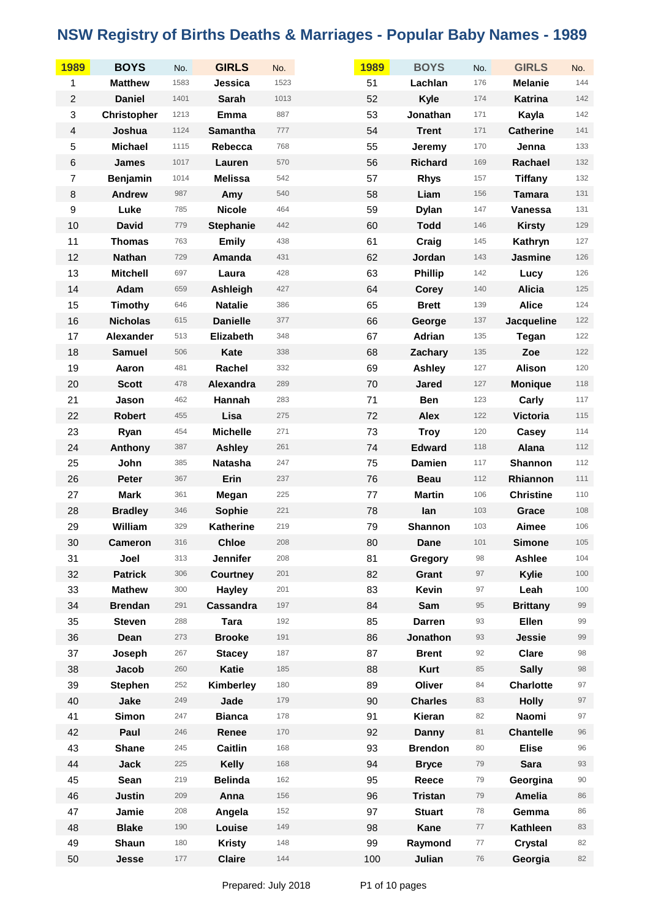| 1989             | <b>BOYS</b>        | No.  | <b>GIRLS</b>     | No.  | 1989 | <b>BOYS</b>    | No.        | <b>GIRLS</b>     | No.   |
|------------------|--------------------|------|------------------|------|------|----------------|------------|------------------|-------|
| 1                | <b>Matthew</b>     | 1583 | Jessica          | 1523 | 51   | Lachlan        | 176        | <b>Melanie</b>   | 144   |
| $\overline{c}$   | <b>Daniel</b>      | 1401 | <b>Sarah</b>     | 1013 | 52   | <b>Kyle</b>    | 174        | Katrina          | 142   |
| 3                | <b>Christopher</b> | 1213 | Emma             | 887  | 53   | Jonathan       | 171        | Kayla            | 142   |
| $\overline{4}$   | Joshua             | 1124 | <b>Samantha</b>  | 777  | 54   | <b>Trent</b>   | 171        | <b>Catherine</b> | 141   |
| 5                | <b>Michael</b>     | 1115 | Rebecca          | 768  | 55   | Jeremy         | 170        | Jenna            | 133   |
| $\,6$            | <b>James</b>       | 1017 | Lauren           | 570  | 56   | <b>Richard</b> | 169        | Rachael          | 132   |
| $\boldsymbol{7}$ | <b>Benjamin</b>    | 1014 | <b>Melissa</b>   | 542  | 57   | <b>Rhys</b>    | 157        | <b>Tiffany</b>   | 132   |
| $\bf 8$          | <b>Andrew</b>      | 987  | Amy              | 540  | 58   | Liam           | 156        | <b>Tamara</b>    | 131   |
| $\boldsymbol{9}$ | Luke               | 785  | <b>Nicole</b>    | 464  | 59   | <b>Dylan</b>   | 147        | Vanessa          | 131   |
| 10               | <b>David</b>       | 779  | <b>Stephanie</b> | 442  | 60   | <b>Todd</b>    | 146        | <b>Kirsty</b>    | 129   |
| 11               | <b>Thomas</b>      | 763  | <b>Emily</b>     | 438  | 61   | Craig          | 145        | Kathryn          | 127   |
| 12               | <b>Nathan</b>      | 729  | Amanda           | 431  | 62   | Jordan         | 143        | Jasmine          | 126   |
| 13               | <b>Mitchell</b>    | 697  | Laura            | 428  | 63   | <b>Phillip</b> | 142        | Lucy             | 126   |
| 14               | Adam               | 659  | Ashleigh         | 427  | 64   | <b>Corey</b>   | 140        | <b>Alicia</b>    | 125   |
| 15               | Timothy            | 646  | <b>Natalie</b>   | 386  | 65   | <b>Brett</b>   | 139        | <b>Alice</b>     | 124   |
| 16               | <b>Nicholas</b>    | 615  | <b>Danielle</b>  | 377  | 66   | George         | 137        | Jacqueline       | 122   |
| 17               | <b>Alexander</b>   | 513  | Elizabeth        | 348  | 67   | Adrian         | 135        | <b>Tegan</b>     | 122   |
| 18               | <b>Samuel</b>      | 506  | Kate             | 338  | 68   | Zachary        | 135        | Zoe              | 122   |
| 19               | Aaron              | 481  | Rachel           | 332  | 69   | <b>Ashley</b>  | 127        | Alison           | 120   |
| 20               | <b>Scott</b>       | 478  | Alexandra        | 289  | 70   | <b>Jared</b>   | 127        | <b>Monique</b>   | 118   |
| 21               | Jason              | 462  | Hannah           | 283  | 71   | <b>Ben</b>     | 123        | Carly            | 117   |
| 22               | <b>Robert</b>      | 455  | Lisa             | 275  | 72   | <b>Alex</b>    | 122        | Victoria         | 115   |
| 23               | Ryan               | 454  | <b>Michelle</b>  | 271  | 73   | <b>Troy</b>    | 120        | Casey            | 114   |
| 24               | Anthony            | 387  | <b>Ashley</b>    | 261  | 74   | <b>Edward</b>  | 118        | Alana            | $112$ |
| 25               | John               | 385  | Natasha          | 247  | 75   | <b>Damien</b>  | 117        | Shannon          | 112   |
| 26               | <b>Peter</b>       | 367  | Erin             | 237  | 76   | <b>Beau</b>    | 112        | Rhiannon         | 111   |
| 27               | <b>Mark</b>        | 361  | Megan            | 225  | 77   | <b>Martin</b>  | 106        | <b>Christine</b> | 110   |
| 28               | <b>Bradley</b>     | 346  | Sophie           | 221  | 78   | lan            | 103        | Grace            | 108   |
| 29               | William            | 329  | <b>Katherine</b> | 219  | 79   | Shannon        | 103        | Aimee            | 106   |
| 30               | <b>Cameron</b>     | 316  | <b>Chloe</b>     | 208  | 80   | Dane           | 101        | <b>Simone</b>    | 105   |
| 31               | Joel               | 313  | <b>Jennifer</b>  | 208  | 81   | <b>Gregory</b> | 98         | <b>Ashlee</b>    | 104   |
| 32               | <b>Patrick</b>     | 306  | <b>Courtney</b>  | 201  | 82   | Grant          | 97         | Kylie            | 100   |
| 33               | <b>Mathew</b>      | 300  | <b>Hayley</b>    | 201  | 83   | Kevin          | 97         | Leah             | 100   |
| 34               | <b>Brendan</b>     | 291  | Cassandra        | 197  | 84   | Sam            | 95         | <b>Brittany</b>  | 99    |
| 35               | <b>Steven</b>      | 288  | <b>Tara</b>      | 192  | 85   | <b>Darren</b>  | 93         | Ellen            | 99    |
| 36               | Dean               | 273  | <b>Brooke</b>    | 191  | 86   | Jonathon       | 93         | Jessie           | 99    |
| 37               | Joseph             | 267  | <b>Stacey</b>    | 187  | 87   | <b>Brent</b>   | 92         | <b>Clare</b>     | 98    |
| 38               | Jacob              | 260  | Katie            | 185  | 88   | <b>Kurt</b>    | 85         | <b>Sally</b>     | 98    |
| 39               | <b>Stephen</b>     | 252  | Kimberley        | 180  | 89   | Oliver         | 84         | <b>Charlotte</b> | 97    |
| 40               | Jake               | 249  | Jade             | 179  | 90   | <b>Charles</b> | 83         | <b>Holly</b>     | 97    |
| 41               | <b>Simon</b>       | 247  | <b>Bianca</b>    | 178  | 91   | Kieran         | 82         | Naomi            | 97    |
| 42               | Paul               | 246  | Renee            | 170  | 92   | <b>Danny</b>   | 81         | <b>Chantelle</b> | 96    |
| 43               | <b>Shane</b>       | 245  | Caitlin          | 168  | 93   | <b>Brendon</b> | 80         | <b>Elise</b>     | 96    |
| 44               | <b>Jack</b>        | 225  | Kelly            | 168  | 94   | <b>Bryce</b>   | 79         | <b>Sara</b>      | 93    |
| 45               | Sean               | 219  | <b>Belinda</b>   | 162  | 95   | Reece          | 79         | Georgina         | 90    |
| 46               | <b>Justin</b>      | 209  | Anna             | 156  | 96   | <b>Tristan</b> | 79         | <b>Amelia</b>    | 86    |
| 47               | Jamie              | 208  | Angela           | 152  | 97   | <b>Stuart</b>  | 78         | Gemma            | 86    |
| 48               | <b>Blake</b>       | 190  | Louise           | 149  | 98   | Kane           | 77         | Kathleen         | 83    |
| 49               | Shaun              | 180  | <b>Kristy</b>    | 148  | 99   | Raymond        | $77\,$     | <b>Crystal</b>   | 82    |
| 50               | Jesse              | 177  | <b>Claire</b>    | 144  | 100  | Julian         | ${\bf 76}$ | Georgia          | 82    |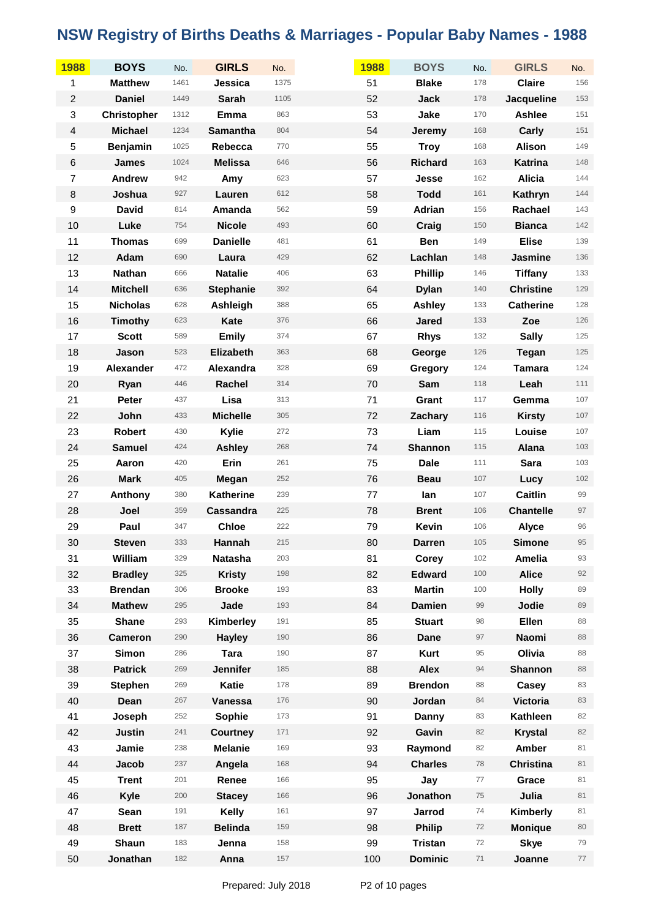| 1988                      | <b>BOYS</b>        | No.  | <b>GIRLS</b>     | No.  | 1988 | <b>BOYS</b>    | No.  | <b>GIRLS</b>     | No.   |
|---------------------------|--------------------|------|------------------|------|------|----------------|------|------------------|-------|
| 1                         | <b>Matthew</b>     | 1461 | Jessica          | 1375 | 51   | <b>Blake</b>   | 178  | <b>Claire</b>    | 156   |
| $\boldsymbol{2}$          | <b>Daniel</b>      | 1449 | <b>Sarah</b>     | 1105 | 52   | Jack           | 178  | Jacqueline       | 153   |
| $\ensuremath{\mathsf{3}}$ | <b>Christopher</b> | 1312 | Emma             | 863  | 53   | Jake           | 170  | Ashlee           | 151   |
| $\overline{4}$            | <b>Michael</b>     | 1234 | Samantha         | 804  | 54   | Jeremy         | 168  | Carly            | 151   |
| $\mathbf 5$               | <b>Benjamin</b>    | 1025 | Rebecca          | 770  | 55   | <b>Troy</b>    | 168  | <b>Alison</b>    | 149   |
| $\,6$                     | <b>James</b>       | 1024 | <b>Melissa</b>   | 646  | 56   | <b>Richard</b> | 163  | Katrina          | 148   |
| $\overline{7}$            | <b>Andrew</b>      | 942  | Amy              | 623  | 57   | Jesse          | 162  | <b>Alicia</b>    | 144   |
| $\,8\,$                   | Joshua             | 927  | Lauren           | 612  | 58   | <b>Todd</b>    | 161  | Kathryn          | 144   |
| $\boldsymbol{9}$          | <b>David</b>       | 814  | Amanda           | 562  | 59   | Adrian         | 156  | Rachael          | 143   |
| 10                        | Luke               | 754  | <b>Nicole</b>    | 493  | 60   | Craig          | 150  | <b>Bianca</b>    | 142   |
| 11                        | <b>Thomas</b>      | 699  | <b>Danielle</b>  | 481  | 61   | <b>Ben</b>     | 149  | <b>Elise</b>     | 139   |
| 12                        | Adam               | 690  | Laura            | 429  | 62   | Lachlan        | 148  | Jasmine          | 136   |
| 13                        | Nathan             | 666  | <b>Natalie</b>   | 406  | 63   | <b>Phillip</b> | 146  | <b>Tiffany</b>   | 133   |
| 14                        | <b>Mitchell</b>    | 636  | <b>Stephanie</b> | 392  | 64   | <b>Dylan</b>   | 140  | <b>Christine</b> | 129   |
| 15                        | <b>Nicholas</b>    | 628  | Ashleigh         | 388  | 65   | <b>Ashley</b>  | 133  | <b>Catherine</b> | 128   |
| 16                        | <b>Timothy</b>     | 623  | Kate             | 376  | 66   | <b>Jared</b>   | 133  | Zoe              | 126   |
| 17                        | <b>Scott</b>       | 589  | <b>Emily</b>     | 374  | 67   | <b>Rhys</b>    | 132  | <b>Sally</b>     | 125   |
| 18                        | Jason              | 523  | Elizabeth        | 363  | 68   | George         | 126  | <b>Tegan</b>     | 125   |
| 19                        | <b>Alexander</b>   | 472  | Alexandra        | 328  | 69   | Gregory        | 124  | <b>Tamara</b>    | 124   |
| 20                        | Ryan               | 446  | Rachel           | 314  | 70   | Sam            | 118  | Leah             | 111   |
| 21                        | Peter              | 437  | Lisa             | 313  | 71   | Grant          | 117  | Gemma            | 107   |
| 22                        | John               | 433  | <b>Michelle</b>  | 305  | 72   | Zachary        | 116  | <b>Kirsty</b>    | $107$ |
| 23                        | <b>Robert</b>      | 430  | Kylie            | 272  | 73   | Liam           | 115  | Louise           | $107$ |
| 24                        | <b>Samuel</b>      | 424  | <b>Ashley</b>    | 268  | 74   | <b>Shannon</b> | 115  | Alana            | 103   |
| 25                        | Aaron              | 420  | Erin             | 261  | 75   | <b>Dale</b>    | 111  | <b>Sara</b>      | 103   |
| 26                        | <b>Mark</b>        | 405  | Megan            | 252  | 76   | <b>Beau</b>    | 107  | Lucy             | 102   |
| 27                        | Anthony            | 380  | Katherine        | 239  | 77   | lan            | 107  | <b>Caitlin</b>   | 99    |
| 28                        | Joel               | 359  | Cassandra        | 225  | 78   | <b>Brent</b>   | 106  | <b>Chantelle</b> | 97    |
| 29                        | Paul               | 347  | <b>Chloe</b>     | 222  | 79   | Kevin          | 106  | <b>Alyce</b>     | 96    |
| 30                        | <b>Steven</b>      | 333  | Hannah           | 215  | 80   | <b>Darren</b>  | 105  | <b>Simone</b>    | 95    |
| 31                        | William            | 329  | <b>Natasha</b>   | 203  | 81   | Corey          | 102  | <b>Amelia</b>    | 93    |
| 32                        | <b>Bradley</b>     | 325  | <b>Kristy</b>    | 198  | 82   | <b>Edward</b>  | 100  | <b>Alice</b>     | 92    |
| 33                        | <b>Brendan</b>     | 306  | <b>Brooke</b>    | 193  | 83   | <b>Martin</b>  | 100  | <b>Holly</b>     | 89    |
| 34                        | <b>Mathew</b>      | 295  | Jade             | 193  | 84   | <b>Damien</b>  | 99   | Jodie            | 89    |
| 35                        | <b>Shane</b>       | 293  | Kimberley        | 191  | 85   | <b>Stuart</b>  | 98   | Ellen            | 88    |
| 36                        | <b>Cameron</b>     | 290  | <b>Hayley</b>    | 190  | 86   | <b>Dane</b>    | 97   | Naomi            | 88    |
| 37                        | <b>Simon</b>       | 286  | <b>Tara</b>      | 190  | 87   | <b>Kurt</b>    | 95   | Olivia           | 88    |
| 38                        | <b>Patrick</b>     | 269  | <b>Jennifer</b>  | 185  | 88   | <b>Alex</b>    | 94   | <b>Shannon</b>   | 88    |
| 39                        | <b>Stephen</b>     | 269  | <b>Katie</b>     | 178  | 89   | <b>Brendon</b> | 88   | Casey            | 83    |
| 40                        | Dean               | 267  | Vanessa          | 176  | 90   | Jordan         | 84   | <b>Victoria</b>  | 83    |
| 41                        | Joseph             | 252  | Sophie           | 173  | 91   | Danny          | 83   | <b>Kathleen</b>  | 82    |
| 42                        | <b>Justin</b>      | 241  | <b>Courtney</b>  | 171  | 92   | Gavin          | 82   | <b>Krystal</b>   | 82    |
| 43                        | Jamie              | 238  | <b>Melanie</b>   | 169  | 93   | Raymond        | 82   | Amber            | 81    |
| 44                        | Jacob              | 237  | Angela           | 168  | 94   | <b>Charles</b> | 78   | <b>Christina</b> | 81    |
| 45                        | <b>Trent</b>       | 201  | Renee            | 166  | 95   | Jay            | $77$ | Grace            | 81    |
| 46                        | Kyle               | 200  | <b>Stacey</b>    | 166  | 96   | Jonathon       | 75   | Julia            | 81    |
| 47                        | Sean               | 191  | Kelly            | 161  | 97   | Jarrod         | 74   | Kimberly         | 81    |
| 48                        | <b>Brett</b>       | 187  | <b>Belinda</b>   | 159  | 98   | <b>Philip</b>  | 72   | <b>Monique</b>   | 80    |
| 49                        | Shaun              | 183  | Jenna            | 158  | 99   | <b>Tristan</b> | 72   | <b>Skye</b>      | 79    |
| 50                        | Jonathan           | 182  | Anna             | 157  | 100  | <b>Dominic</b> | $71$ | Joanne           | 77    |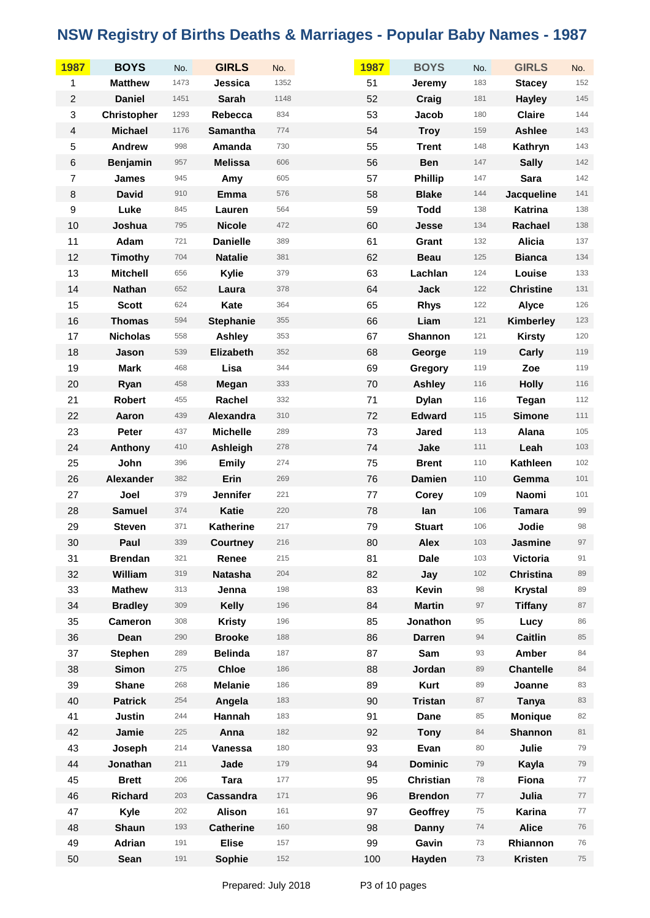| 1987             | <b>BOYS</b>        | No.  | <b>GIRLS</b>     | No.  | 1987 | <b>BOYS</b>      | No. | <b>GIRLS</b>     | No. |
|------------------|--------------------|------|------------------|------|------|------------------|-----|------------------|-----|
| 1                | <b>Matthew</b>     | 1473 | Jessica          | 1352 | 51   | Jeremy           | 183 | <b>Stacey</b>    | 152 |
| $\overline{c}$   | <b>Daniel</b>      | 1451 | <b>Sarah</b>     | 1148 | 52   | Craig            | 181 | <b>Hayley</b>    | 145 |
| 3                | <b>Christopher</b> | 1293 | Rebecca          | 834  | 53   | Jacob            | 180 | <b>Claire</b>    | 144 |
| $\overline{4}$   | <b>Michael</b>     | 1176 | <b>Samantha</b>  | 774  | 54   | <b>Troy</b>      | 159 | Ashlee           | 143 |
| 5                | <b>Andrew</b>      | 998  | Amanda           | 730  | 55   | <b>Trent</b>     | 148 | Kathryn          | 143 |
| $\,6$            | <b>Benjamin</b>    | 957  | <b>Melissa</b>   | 606  | 56   | <b>Ben</b>       | 147 | <b>Sally</b>     | 142 |
| $\overline{7}$   | <b>James</b>       | 945  | Amy              | 605  | 57   | <b>Phillip</b>   | 147 | <b>Sara</b>      | 142 |
| $\bf 8$          | <b>David</b>       | 910  | Emma             | 576  | 58   | <b>Blake</b>     | 144 | Jacqueline       | 141 |
| $\boldsymbol{9}$ | Luke               | 845  | Lauren           | 564  | 59   | <b>Todd</b>      | 138 | Katrina          | 138 |
| 10               | Joshua             | 795  | <b>Nicole</b>    | 472  | 60   | Jesse            | 134 | Rachael          | 138 |
| 11               | Adam               | 721  | <b>Danielle</b>  | 389  | 61   | Grant            | 132 | <b>Alicia</b>    | 137 |
| 12               | <b>Timothy</b>     | 704  | <b>Natalie</b>   | 381  | 62   | <b>Beau</b>      | 125 | <b>Bianca</b>    | 134 |
| 13               | <b>Mitchell</b>    | 656  | Kylie            | 379  | 63   | Lachlan          | 124 | Louise           | 133 |
| 14               | <b>Nathan</b>      | 652  | Laura            | 378  | 64   | <b>Jack</b>      | 122 | <b>Christine</b> | 131 |
| 15               | <b>Scott</b>       | 624  | Kate             | 364  | 65   | <b>Rhys</b>      | 122 | Alyce            | 126 |
| 16               | <b>Thomas</b>      | 594  | <b>Stephanie</b> | 355  | 66   | Liam             | 121 | Kimberley        | 123 |
| 17               | <b>Nicholas</b>    | 558  | <b>Ashley</b>    | 353  | 67   | <b>Shannon</b>   | 121 | <b>Kirsty</b>    | 120 |
| 18               | Jason              | 539  | Elizabeth        | 352  | 68   | George           | 119 | Carly            | 119 |
| 19               | <b>Mark</b>        | 468  | Lisa             | 344  | 69   | Gregory          | 119 | Zoe              | 119 |
| 20               | Ryan               | 458  | Megan            | 333  | 70   | <b>Ashley</b>    | 116 | <b>Holly</b>     | 116 |
| 21               | Robert             | 455  | Rachel           | 332  | 71   | <b>Dylan</b>     | 116 | <b>Tegan</b>     | 112 |
| 22               | Aaron              | 439  | Alexandra        | 310  | 72   | <b>Edward</b>    | 115 | <b>Simone</b>    | 111 |
| 23               | Peter              | 437  | <b>Michelle</b>  | 289  | 73   | <b>Jared</b>     | 113 | Alana            | 105 |
| 24               | Anthony            | 410  | Ashleigh         | 278  | 74   | Jake             | 111 | Leah             | 103 |
| 25               | John               | 396  | <b>Emily</b>     | 274  | 75   | <b>Brent</b>     | 110 | <b>Kathleen</b>  | 102 |
| 26               | <b>Alexander</b>   | 382  | Erin             | 269  | 76   | <b>Damien</b>    | 110 | Gemma            | 101 |
| 27               | Joel               | 379  | <b>Jennifer</b>  | 221  | 77   | <b>Corey</b>     | 109 | Naomi            | 101 |
| 28               | <b>Samuel</b>      | 374  | <b>Katie</b>     | 220  | 78   | lan              | 106 | <b>Tamara</b>    | 99  |
| 29               | <b>Steven</b>      | 371  | <b>Katherine</b> | 217  | 79   | <b>Stuart</b>    | 106 | Jodie            | 98  |
| 30               | Paul               | 339  | <b>Courtney</b>  | 216  | 80   | <b>Alex</b>      | 103 | Jasmine          | 97  |
| 31               | <b>Brendan</b>     | 321  | Renee            | 215  | 81   | <b>Dale</b>      | 103 | Victoria         | 91  |
| 32               | William            | 319  | <b>Natasha</b>   | 204  | 82   | Jay              | 102 | <b>Christina</b> | 89  |
| 33               | <b>Mathew</b>      | 313  | Jenna            | 198  | 83   | Kevin            | 98  | <b>Krystal</b>   | 89  |
| 34               | <b>Bradley</b>     | 309  | <b>Kelly</b>     | 196  | 84   | <b>Martin</b>    | 97  | <b>Tiffany</b>   | 87  |
| 35               | Cameron            | 308  | <b>Kristy</b>    | 196  | 85   | Jonathon         | 95  | Lucy             | 86  |
| 36               | Dean               | 290  | <b>Brooke</b>    | 188  | 86   | <b>Darren</b>    | 94  | <b>Caitlin</b>   | 85  |
| 37               | <b>Stephen</b>     | 289  | <b>Belinda</b>   | 187  | 87   | Sam              | 93  | Amber            | 84  |
| 38               | <b>Simon</b>       | 275  | <b>Chloe</b>     | 186  | 88   | Jordan           | 89  | <b>Chantelle</b> | 84  |
| 39               | <b>Shane</b>       | 268  | <b>Melanie</b>   | 186  | 89   | <b>Kurt</b>      | 89  | Joanne           | 83  |
| 40               | <b>Patrick</b>     | 254  | Angela           | 183  | 90   | <b>Tristan</b>   | 87  | Tanya            | 83  |
| 41               | <b>Justin</b>      | 244  | Hannah           | 183  | 91   | Dane             | 85  | <b>Monique</b>   | 82  |
| 42               | Jamie              | 225  | Anna             | 182  | 92   | <b>Tony</b>      | 84  | Shannon          | 81  |
| 43               | Joseph             | 214  | Vanessa          | 180  | 93   | Evan             | 80  | Julie            | 79  |
| 44               | Jonathan           | 211  | Jade             | 179  | 94   | <b>Dominic</b>   | 79  | Kayla            | 79  |
| 45               | <b>Brett</b>       | 206  | <b>Tara</b>      | 177  | 95   | <b>Christian</b> | 78  | Fiona            | 77  |
| 46               | <b>Richard</b>     | 203  | Cassandra        | 171  | 96   | <b>Brendon</b>   | 77  | Julia            | 77  |
| 47               | Kyle               | 202  | <b>Alison</b>    | 161  | 97   | Geoffrey         | 75  | Karina           | 77  |
| 48               | Shaun              | 193  | <b>Catherine</b> | 160  | 98   | <b>Danny</b>     | 74  | <b>Alice</b>     | 76  |
| 49               | Adrian             | 191  | <b>Elise</b>     | 157  | 99   | Gavin            | 73  | Rhiannon         | 76  |
| 50               | Sean               | 191  | Sophie           | 152  | 100  | Hayden           | 73  | <b>Kristen</b>   | 75  |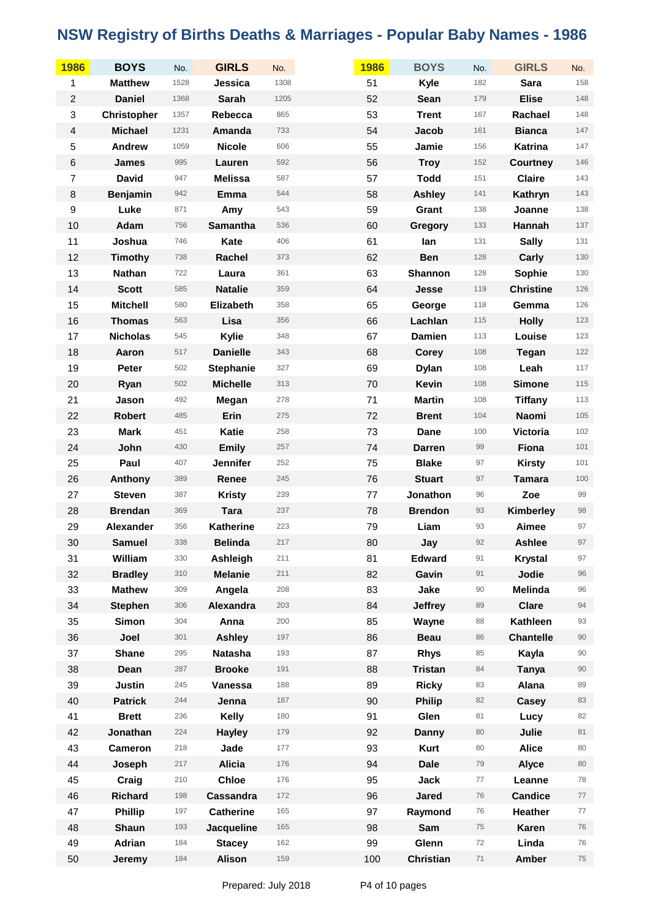| 1986                      | <b>BOYS</b>        | No.  | <b>GIRLS</b>     | No.  | 1986 | <b>BOYS</b>      | No.     | <b>GIRLS</b>     | No.    |
|---------------------------|--------------------|------|------------------|------|------|------------------|---------|------------------|--------|
| 1                         | <b>Matthew</b>     | 1528 | Jessica          | 1308 | 51   | Kyle             | 182     | <b>Sara</b>      | 158    |
| $\overline{c}$            | <b>Daniel</b>      | 1368 | <b>Sarah</b>     | 1205 | 52   | Sean             | 179     | <b>Elise</b>     | 148    |
| $\ensuremath{\mathsf{3}}$ | <b>Christopher</b> | 1357 | Rebecca          | 865  | 53   | <b>Trent</b>     | 167     | Rachael          | 148    |
| $\overline{4}$            | <b>Michael</b>     | 1231 | Amanda           | 733  | 54   | Jacob            | 161     | <b>Bianca</b>    | 147    |
| 5                         | <b>Andrew</b>      | 1059 | <b>Nicole</b>    | 606  | 55   | Jamie            | 156     | Katrina          | 147    |
| $\,6$                     | <b>James</b>       | 995  | Lauren           | 592  | 56   | <b>Troy</b>      | 152     | <b>Courtney</b>  | 146    |
| $\boldsymbol{7}$          | <b>David</b>       | 947  | <b>Melissa</b>   | 587  | 57   | <b>Todd</b>      | 151     | <b>Claire</b>    | 143    |
| $\,8\,$                   | <b>Benjamin</b>    | 942  | Emma             | 544  | 58   | <b>Ashley</b>    | 141     | Kathryn          | 143    |
| $\boldsymbol{9}$          | Luke               | 871  | Amy              | 543  | 59   | Grant            | 138     | Joanne           | 138    |
| 10                        | Adam               | 756  | Samantha         | 536  | 60   | Gregory          | 133     | Hannah           | 137    |
| 11                        | Joshua             | 746  | Kate             | 406  | 61   | lan              | 131     | <b>Sally</b>     | 131    |
| 12                        | <b>Timothy</b>     | 738  | Rachel           | 373  | 62   | <b>Ben</b>       | 128     | Carly            | 130    |
| 13                        | <b>Nathan</b>      | 722  | Laura            | 361  | 63   | <b>Shannon</b>   | 128     | Sophie           | 130    |
| 14                        | <b>Scott</b>       | 585  | <b>Natalie</b>   | 359  | 64   | Jesse            | 119     | <b>Christine</b> | 126    |
| 15                        | <b>Mitchell</b>    | 580  | Elizabeth        | 358  | 65   | George           | 118     | Gemma            | 126    |
| 16                        | <b>Thomas</b>      | 563  | Lisa             | 356  | 66   | Lachlan          | 115     | <b>Holly</b>     | 123    |
| 17                        | <b>Nicholas</b>    | 545  | Kylie            | 348  | 67   | <b>Damien</b>    | 113     | Louise           | 123    |
| 18                        | Aaron              | 517  | <b>Danielle</b>  | 343  | 68   | <b>Corey</b>     | 108     | <b>Tegan</b>     | 122    |
| 19                        | Peter              | 502  | <b>Stephanie</b> | 327  | 69   | <b>Dylan</b>     | 108     | Leah             | 117    |
| 20                        | Ryan               | 502  | <b>Michelle</b>  | 313  | 70   | <b>Kevin</b>     | 108     | <b>Simone</b>    | 115    |
| 21                        | Jason              | 492  | Megan            | 278  | 71   | <b>Martin</b>    | 108     | <b>Tiffany</b>   | 113    |
| 22                        | <b>Robert</b>      | 485  | Erin             | 275  | 72   | <b>Brent</b>     | 104     | Naomi            | 105    |
| 23                        | <b>Mark</b>        | 451  | <b>Katie</b>     | 258  | 73   | Dane             | 100     | Victoria         | 102    |
| 24                        | John               | 430  | <b>Emily</b>     | 257  | 74   | <b>Darren</b>    | 99      | Fiona            | 101    |
| 25                        | Paul               | 407  | <b>Jennifer</b>  | 252  | 75   | <b>Blake</b>     | 97      | <b>Kirsty</b>    | 101    |
| 26                        | Anthony            | 389  | Renee            | 245  | 76   | <b>Stuart</b>    | 97      | <b>Tamara</b>    | 100    |
| 27                        | <b>Steven</b>      | 387  | <b>Kristy</b>    | 239  | 77   | Jonathon         | 96      | Zoe              | 99     |
| 28                        | <b>Brendan</b>     | 369  | <b>Tara</b>      | 237  | 78   | <b>Brendon</b>   | 93      | Kimberley        | 98     |
| 29                        | Alexander          | 356  | <b>Katherine</b> | 223  | 79   | Liam             | 93      | Aimee            | 97     |
| 30                        | <b>Samuel</b>      | 338  | <b>Belinda</b>   | 217  | 80   | Jay              | 92      | <b>Ashlee</b>    | 97     |
| 31                        | William            | 330  | Ashleigh         | 211  | 81   | <b>Edward</b>    | 91      | <b>Krystal</b>   | 97     |
| 32                        | <b>Bradley</b>     | 310  | <b>Melanie</b>   | 211  | 82   | Gavin            | 91      | Jodie            | 96     |
| 33                        | <b>Mathew</b>      | 309  | Angela           | 208  | 83   | Jake             | $90\,$  | <b>Melinda</b>   | 96     |
| 34                        | <b>Stephen</b>     | 306  | Alexandra        | 203  | 84   | <b>Jeffrey</b>   | 89      | <b>Clare</b>     | 94     |
| 35                        | <b>Simon</b>       | 304  | Anna             | 200  | 85   | Wayne            | 88      | <b>Kathleen</b>  | 93     |
| 36                        | Joel               | 301  | <b>Ashley</b>    | 197  | 86   | <b>Beau</b>      | 86      | <b>Chantelle</b> | 90     |
| 37                        | <b>Shane</b>       | 295  | <b>Natasha</b>   | 193  | 87   | <b>Rhys</b>      | 85      | Kayla            | $90\,$ |
| 38                        | Dean               | 287  | <b>Brooke</b>    | 191  | 88   | <b>Tristan</b>   | 84      | <b>Tanya</b>     | $90\,$ |
| 39                        | <b>Justin</b>      | 245  | Vanessa          | 188  | 89   | <b>Ricky</b>     | 83      | Alana            | 89     |
| 40                        | <b>Patrick</b>     | 244  | Jenna            | 187  | 90   | <b>Philip</b>    | 82      | Casey            | 83     |
| 41                        | <b>Brett</b>       | 236  | Kelly            | 180  | 91   | Glen             | 81      | Lucy             | 82     |
| 42                        | Jonathan           | 224  | <b>Hayley</b>    | 179  | 92   | <b>Danny</b>     | 80      | Julie            | 81     |
| 43                        | <b>Cameron</b>     | 218  | Jade             | 177  | 93   | <b>Kurt</b>      | 80      | <b>Alice</b>     | 80     |
| 44                        | Joseph             | 217  | <b>Alicia</b>    | 176  | 94   | <b>Dale</b>      | 79      | <b>Alyce</b>     | 80     |
| 45                        | Craig              | 210  | <b>Chloe</b>     | 176  | 95   | <b>Jack</b>      | $77 \,$ | Leanne           | 78     |
| 46                        | <b>Richard</b>     | 198  | Cassandra        | 172  | 96   | <b>Jared</b>     | 76      | <b>Candice</b>   | 77     |
| 47                        | <b>Phillip</b>     | 197  | <b>Catherine</b> | 165  | 97   | Raymond          | 76      | Heather          | $77$   |
| 48                        | <b>Shaun</b>       | 193  | Jacqueline       | 165  | 98   | Sam              | 75      | Karen            | 76     |
| 49                        | Adrian             | 184  | <b>Stacey</b>    | 162  | 99   | Glenn            | 72      | Linda            | 76     |
| 50                        | Jeremy             | 184  | <b>Alison</b>    | 159  | 100  | <b>Christian</b> | $71$    | Amber            | 75     |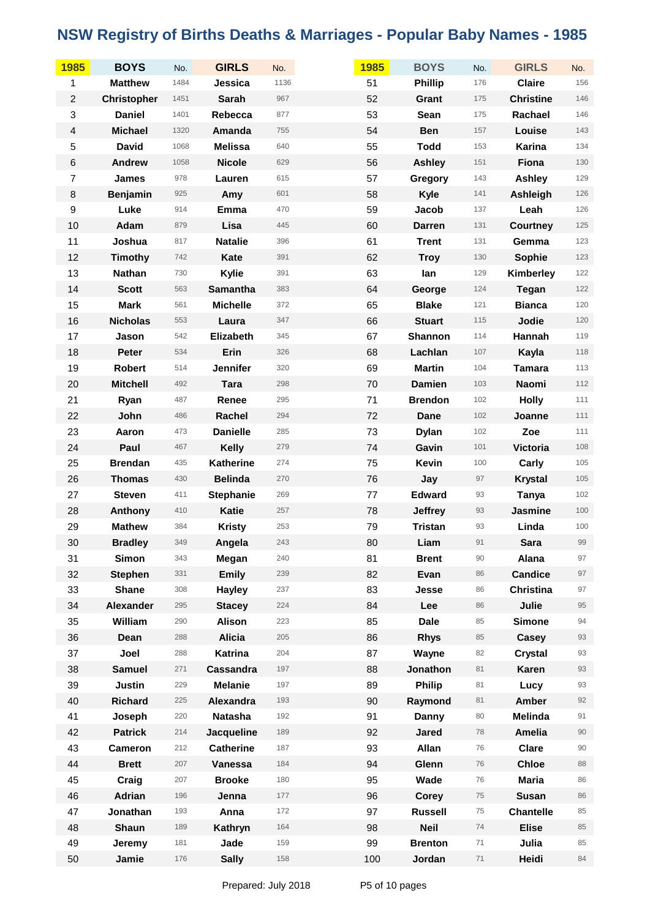| <b>1985</b>      | <b>BOYS</b>        | No.  | <b>GIRLS</b>     | No.  | 1985 | <b>BOYS</b>    | No.  | <b>GIRLS</b>     | No.     |
|------------------|--------------------|------|------------------|------|------|----------------|------|------------------|---------|
| 1                | <b>Matthew</b>     | 1484 | Jessica          | 1136 | 51   | <b>Phillip</b> | 176  | <b>Claire</b>    | 156     |
| $\boldsymbol{2}$ | <b>Christopher</b> | 1451 | <b>Sarah</b>     | 967  | 52   | Grant          | 175  | <b>Christine</b> | 146     |
| 3                | <b>Daniel</b>      | 1401 | Rebecca          | 877  | 53   | Sean           | 175  | Rachael          | 146     |
| $\overline{4}$   | <b>Michael</b>     | 1320 | Amanda           | 755  | 54   | <b>Ben</b>     | 157  | Louise           | 143     |
| 5                | <b>David</b>       | 1068 | <b>Melissa</b>   | 640  | 55   | <b>Todd</b>    | 153  | Karina           | 134     |
| $\,6$            | <b>Andrew</b>      | 1058 | <b>Nicole</b>    | 629  | 56   | <b>Ashley</b>  | 151  | Fiona            | 130     |
| $\overline{7}$   | James              | 978  | Lauren           | 615  | 57   | Gregory        | 143  | <b>Ashley</b>    | 129     |
| $\bf 8$          | <b>Benjamin</b>    | 925  | Amy              | 601  | 58   | <b>Kyle</b>    | 141  | Ashleigh         | 126     |
| $\boldsymbol{9}$ | Luke               | 914  | Emma             | 470  | 59   | Jacob          | 137  | Leah             | 126     |
| 10               | Adam               | 879  | Lisa             | 445  | 60   | <b>Darren</b>  | 131  | <b>Courtney</b>  | 125     |
| 11               | Joshua             | 817  | <b>Natalie</b>   | 396  | 61   | <b>Trent</b>   | 131  | Gemma            | 123     |
| 12               | <b>Timothy</b>     | 742  | Kate             | 391  | 62   | <b>Troy</b>    | 130  | Sophie           | $123$   |
| 13               | <b>Nathan</b>      | 730  | Kylie            | 391  | 63   | lan            | 129  | Kimberley        | 122     |
| 14               | <b>Scott</b>       | 563  | <b>Samantha</b>  | 383  | 64   | George         | 124  | Tegan            | 122     |
| 15               | <b>Mark</b>        | 561  | <b>Michelle</b>  | 372  | 65   | <b>Blake</b>   | 121  | <b>Bianca</b>    | 120     |
| 16               | <b>Nicholas</b>    | 553  | Laura            | 347  | 66   | <b>Stuart</b>  | 115  | Jodie            | 120     |
| 17               | Jason              | 542  | Elizabeth        | 345  | 67   | Shannon        | 114  | Hannah           | 119     |
| 18               | Peter              | 534  | Erin             | 326  | 68   | Lachlan        | 107  | Kayla            | 118     |
| 19               | Robert             | 514  | <b>Jennifer</b>  | 320  | 69   | <b>Martin</b>  | 104  | <b>Tamara</b>    | 113     |
| 20               | <b>Mitchell</b>    | 492  | <b>Tara</b>      | 298  | 70   | <b>Damien</b>  | 103  | Naomi            | $112$   |
| 21               | Ryan               | 487  | Renee            | 295  | 71   | <b>Brendon</b> | 102  | <b>Holly</b>     | $111$   |
| 22               | John               | 486  | Rachel           | 294  | 72   | Dane           | 102  | Joanne           | 111     |
| 23               | Aaron              | 473  | <b>Danielle</b>  | 285  | 73   | <b>Dylan</b>   | 102  | Zoe              | 111     |
| 24               | Paul               | 467  | <b>Kelly</b>     | 279  | 74   | Gavin          | 101  | <b>Victoria</b>  | 108     |
| 25               | <b>Brendan</b>     | 435  | <b>Katherine</b> | 274  | 75   | Kevin          | 100  | Carly            | 105     |
| 26               | <b>Thomas</b>      | 430  | <b>Belinda</b>   | 270  | 76   | Jay            | 97   | <b>Krystal</b>   | $105$   |
| 27               | <b>Steven</b>      | 411  | <b>Stephanie</b> | 269  | 77   | <b>Edward</b>  | 93   | <b>Tanya</b>     | $102$   |
| 28               | Anthony            | 410  | <b>Katie</b>     | 257  | 78   | <b>Jeffrey</b> | 93   | Jasmine          | 100     |
| 29               | <b>Mathew</b>      | 384  | <b>Kristy</b>    | 253  | 79   | <b>Tristan</b> | 93   | Linda            | $100\,$ |
| 30               | <b>Bradley</b>     | 349  | Angela           | 243  | 80   | Liam           | 91   | <b>Sara</b>      | 99      |
| 31               | <b>Simon</b>       | 343  | Megan            | 240  | 81   | <b>Brent</b>   | 90   | Alana            | 97      |
| 32               | <b>Stephen</b>     | 331  | <b>Emily</b>     | 239  | 82   | Evan           | 86   | <b>Candice</b>   | 97      |
| 33               | <b>Shane</b>       | 308  | <b>Hayley</b>    | 237  | 83   | Jesse          | 86   | <b>Christina</b> | 97      |
| 34               | Alexander          | 295  | <b>Stacey</b>    | 224  | 84   | Lee            | 86   | Julie            | 95      |
| 35               | William            | 290  | <b>Alison</b>    | 223  | 85   | <b>Dale</b>    | 85   | <b>Simone</b>    | 94      |
| 36               | Dean               | 288  | <b>Alicia</b>    | 205  | 86   | <b>Rhys</b>    | 85   | Casey            | 93      |
| 37               | Joel               | 288  | Katrina          | 204  | 87   | Wayne          | 82   | <b>Crystal</b>   | 93      |
| 38               | <b>Samuel</b>      | 271  | Cassandra        | 197  | 88   | Jonathon       | 81   | <b>Karen</b>     | 93      |
| 39               | <b>Justin</b>      | 229  | <b>Melanie</b>   | 197  | 89   | <b>Philip</b>  | 81   | Lucy             | 93      |
| 40               | <b>Richard</b>     | 225  | Alexandra        | 193  | 90   | Raymond        | 81   | <b>Amber</b>     | 92      |
| 41               | Joseph             | 220  | <b>Natasha</b>   | 192  | 91   | Danny          | 80   | Melinda          | 91      |
| 42               | <b>Patrick</b>     | 214  | Jacqueline       | 189  | 92   | <b>Jared</b>   | 78   | <b>Amelia</b>    | 90      |
| 43               | Cameron            | 212  | <b>Catherine</b> | 187  | 93   | Allan          | 76   | <b>Clare</b>     | 90      |
| 44               | <b>Brett</b>       | 207  | Vanessa          | 184  | 94   | Glenn          | 76   | <b>Chloe</b>     | 88      |
| 45               | Craig              | 207  | <b>Brooke</b>    | 180  | 95   | Wade           | 76   | <b>Maria</b>     | 86      |
| 46               | Adrian             | 196  | Jenna            | 177  | 96   | <b>Corey</b>   | 75   | <b>Susan</b>     | 86      |
| 47               | Jonathan           | 193  | Anna             | 172  | 97   | <b>Russell</b> | 75   | <b>Chantelle</b> | 85      |
| 48               | <b>Shaun</b>       | 189  | Kathryn          | 164  | 98   | <b>Neil</b>    | 74   | <b>Elise</b>     | 85      |
| 49               | Jeremy             | 181  | Jade             | 159  | 99   | <b>Brenton</b> | 71   | Julia            | 85      |
| 50               | Jamie              | 176  | <b>Sally</b>     | 158  | 100  | Jordan         | $71$ | Heidi            | 84      |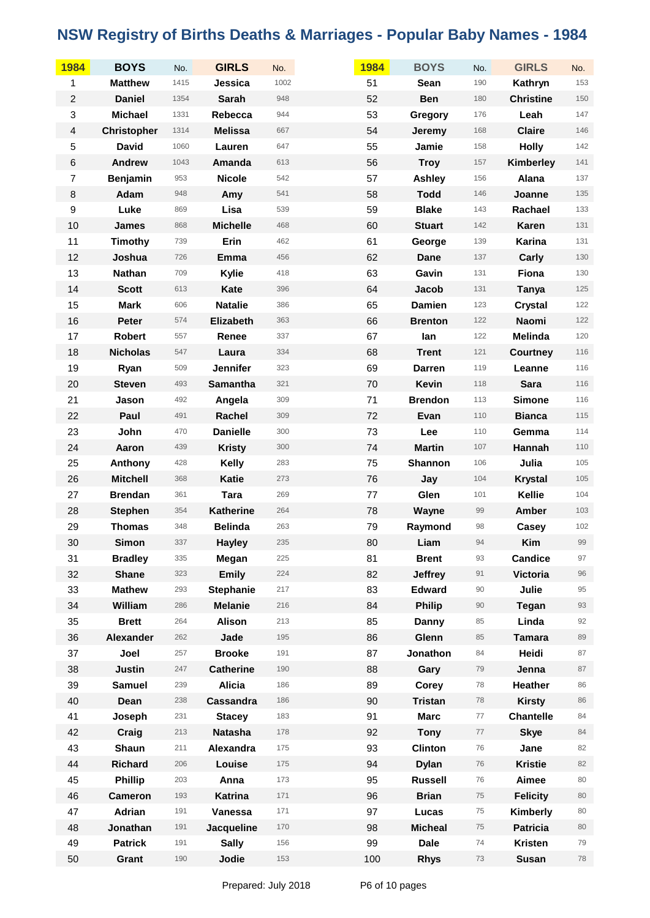| 1984             | <b>BOYS</b>        | No.  | <b>GIRLS</b>     | No.  | 1984 | <b>BOYS</b>    | No.  | <b>GIRLS</b>     | No.   |
|------------------|--------------------|------|------------------|------|------|----------------|------|------------------|-------|
| 1                | <b>Matthew</b>     | 1415 | Jessica          | 1002 | 51   | Sean           | 190  | Kathryn          | 153   |
| $\overline{c}$   | <b>Daniel</b>      | 1354 | <b>Sarah</b>     | 948  | 52   | <b>Ben</b>     | 180  | <b>Christine</b> | 150   |
| 3                | <b>Michael</b>     | 1331 | Rebecca          | 944  | 53   | <b>Gregory</b> | 176  | Leah             | 147   |
| $\overline{4}$   | <b>Christopher</b> | 1314 | <b>Melissa</b>   | 667  | 54   | Jeremy         | 168  | <b>Claire</b>    | 146   |
| 5                | <b>David</b>       | 1060 | Lauren           | 647  | 55   | Jamie          | 158  | <b>Holly</b>     | 142   |
| $\,6$            | <b>Andrew</b>      | 1043 | Amanda           | 613  | 56   | <b>Troy</b>    | 157  | Kimberley        | 141   |
| $\boldsymbol{7}$ | Benjamin           | 953  | <b>Nicole</b>    | 542  | 57   | Ashley         | 156  | Alana            | 137   |
| $\bf 8$          | Adam               | 948  | Amy              | 541  | 58   | <b>Todd</b>    | 146  | Joanne           | 135   |
| $\boldsymbol{9}$ | Luke               | 869  | Lisa             | 539  | 59   | <b>Blake</b>   | 143  | Rachael          | 133   |
| 10               | <b>James</b>       | 868  | <b>Michelle</b>  | 468  | 60   | <b>Stuart</b>  | 142  | Karen            | 131   |
| 11               | Timothy            | 739  | Erin             | 462  | 61   | George         | 139  | Karina           | 131   |
| 12               | Joshua             | 726  | Emma             | 456  | 62   | Dane           | 137  | Carly            | 130   |
| 13               | <b>Nathan</b>      | 709  | Kylie            | 418  | 63   | Gavin          | 131  | Fiona            | 130   |
| 14               | <b>Scott</b>       | 613  | Kate             | 396  | 64   | Jacob          | 131  | <b>Tanya</b>     | 125   |
| 15               | <b>Mark</b>        | 606  | <b>Natalie</b>   | 386  | 65   | <b>Damien</b>  | 123  | <b>Crystal</b>   | 122   |
| 16               | <b>Peter</b>       | 574  | Elizabeth        | 363  | 66   | <b>Brenton</b> | 122  | Naomi            | $122$ |
| 17               | <b>Robert</b>      | 557  | Renee            | 337  | 67   | lan            | 122  | Melinda          | 120   |
| 18               | <b>Nicholas</b>    | 547  | Laura            | 334  | 68   | <b>Trent</b>   | 121  | <b>Courtney</b>  | 116   |
| 19               | Ryan               | 509  | <b>Jennifer</b>  | 323  | 69   | <b>Darren</b>  | 119  | Leanne           | 116   |
| 20               | <b>Steven</b>      | 493  | <b>Samantha</b>  | 321  | 70   | <b>Kevin</b>   | 118  | <b>Sara</b>      | 116   |
| 21               | Jason              | 492  | Angela           | 309  | 71   | <b>Brendon</b> | 113  | <b>Simone</b>    | 116   |
| 22               | Paul               | 491  | Rachel           | 309  | 72   | Evan           | 110  | <b>Bianca</b>    | 115   |
| 23               | John               | 470  | <b>Danielle</b>  | 300  | 73   | Lee            | 110  | Gemma            | 114   |
| 24               | Aaron              | 439  | <b>Kristy</b>    | 300  | 74   | <b>Martin</b>  | 107  | Hannah           | 110   |
| 25               | Anthony            | 428  | <b>Kelly</b>     | 283  | 75   | <b>Shannon</b> | 106  | Julia            | 105   |
| 26               | <b>Mitchell</b>    | 368  | <b>Katie</b>     | 273  | 76   | Jay            | 104  | <b>Krystal</b>   | 105   |
| 27               | <b>Brendan</b>     | 361  | <b>Tara</b>      | 269  | 77   | Glen           | 101  | Kellie           | 104   |
| 28               | <b>Stephen</b>     | 354  | <b>Katherine</b> | 264  | 78   | Wayne          | 99   | Amber            | 103   |
| 29               | <b>Thomas</b>      | 348  | <b>Belinda</b>   | 263  | 79   | Raymond        | 98   | Casey            | 102   |
| 30               | <b>Simon</b>       | 337  | <b>Hayley</b>    | 235  | 80   | Liam           | 94   | Kim              | 99    |
| 31               | <b>Bradley</b>     | 335  | Megan            | 225  | 81   | <b>Brent</b>   | 93   | <b>Candice</b>   | 97    |
| 32               | <b>Shane</b>       | 323  | <b>Emily</b>     | 224  | 82   | <b>Jeffrey</b> | 91   | <b>Victoria</b>  | 96    |
| 33               | <b>Mathew</b>      | 293  | <b>Stephanie</b> | 217  | 83   | <b>Edward</b>  | 90   | Julie            | 95    |
| 34               | William            | 286  | <b>Melanie</b>   | 216  | 84   | <b>Philip</b>  | 90   | <b>Tegan</b>     | 93    |
| 35               | <b>Brett</b>       | 264  | <b>Alison</b>    | 213  | 85   | Danny          | 85   | Linda            | 92    |
| 36               | Alexander          | 262  | Jade             | 195  | 86   | Glenn          | 85   | <b>Tamara</b>    | 89    |
| 37               | Joel               | 257  | <b>Brooke</b>    | 191  | 87   | Jonathon       | 84   | Heidi            | 87    |
| 38               | <b>Justin</b>      | 247  | <b>Catherine</b> | 190  | 88   | Gary           | 79   | Jenna            | 87    |
| 39               | <b>Samuel</b>      | 239  | <b>Alicia</b>    | 186  | 89   | Corey          | 78   | <b>Heather</b>   | 86    |
| 40               | Dean               | 238  | Cassandra        | 186  | 90   | <b>Tristan</b> | 78   | <b>Kirsty</b>    | 86    |
| 41               | Joseph             | 231  | <b>Stacey</b>    | 183  | 91   | <b>Marc</b>    | 77   | <b>Chantelle</b> | 84    |
| 42               | Craig              | 213  | <b>Natasha</b>   | 178  | 92   | <b>Tony</b>    | $77$ | <b>Skye</b>      | 84    |
| 43               | <b>Shaun</b>       | 211  | Alexandra        | 175  | 93   | <b>Clinton</b> | 76   | Jane             | 82    |
| 44               | <b>Richard</b>     | 206  | Louise           | 175  | 94   | <b>Dylan</b>   | 76   | <b>Kristie</b>   | 82    |
| 45               | <b>Phillip</b>     | 203  | Anna             | 173  | 95   | <b>Russell</b> | 76   | Aimee            | 80    |
| 46               | <b>Cameron</b>     | 193  | <b>Katrina</b>   | 171  | 96   | <b>Brian</b>   | 75   | <b>Felicity</b>  | 80    |
| 47               | Adrian             | 191  | Vanessa          | 171  | 97   | Lucas          | 75   | Kimberly         | 80    |
| 48               | Jonathan           | 191  | Jacqueline       | 170  | 98   | <b>Micheal</b> | 75   | <b>Patricia</b>  | 80    |
| 49               | <b>Patrick</b>     | 191  | <b>Sally</b>     | 156  | 99   | <b>Dale</b>    | 74   | <b>Kristen</b>   | 79    |
| 50               | Grant              | 190  | Jodie            | 153  | 100  | <b>Rhys</b>    | 73   | <b>Susan</b>     | 78    |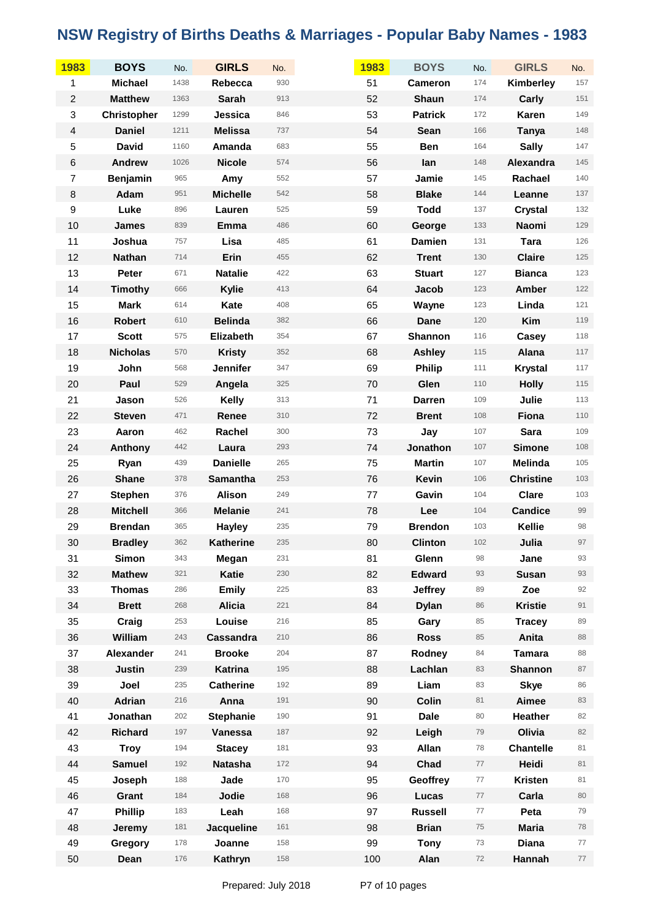| 1983                    | <b>BOYS</b>        | No.  | <b>GIRLS</b>     | No.     | 1983 | <b>BOYS</b>    | No.      | <b>GIRLS</b>     | No.   |
|-------------------------|--------------------|------|------------------|---------|------|----------------|----------|------------------|-------|
| 1                       | <b>Michael</b>     | 1438 | Rebecca          | 930     | 51   | <b>Cameron</b> | 174      | Kimberley        | 157   |
| $\overline{c}$          | <b>Matthew</b>     | 1363 | <b>Sarah</b>     | 913     | 52   | <b>Shaun</b>   | 174      | Carly            | 151   |
| 3                       | <b>Christopher</b> | 1299 | Jessica          | 846     | 53   | <b>Patrick</b> | 172      | Karen            | 149   |
| $\overline{\mathbf{4}}$ | <b>Daniel</b>      | 1211 | <b>Melissa</b>   | 737     | 54   | <b>Sean</b>    | 166      | <b>Tanya</b>     | 148   |
| 5                       | <b>David</b>       | 1160 | Amanda           | 683     | 55   | <b>Ben</b>     | 164      | <b>Sally</b>     | 147   |
| $\,6$                   | <b>Andrew</b>      | 1026 | <b>Nicole</b>    | 574     | 56   | lan            | 148      | Alexandra        | 145   |
| $\overline{7}$          | <b>Benjamin</b>    | 965  | Amy              | 552     | 57   | Jamie          | 145      | Rachael          | 140   |
| $\bf 8$                 | Adam               | 951  | <b>Michelle</b>  | 542     | 58   | <b>Blake</b>   | 144      | Leanne           | 137   |
| $\boldsymbol{9}$        | Luke               | 896  | Lauren           | 525     | 59   | <b>Todd</b>    | 137      | <b>Crystal</b>   | 132   |
| 10                      | <b>James</b>       | 839  | Emma             | 486     | 60   | George         | 133      | Naomi            | 129   |
| 11                      | Joshua             | 757  | Lisa             | 485     | 61   | <b>Damien</b>  | 131      | <b>Tara</b>      | 126   |
| 12                      | <b>Nathan</b>      | 714  | Erin             | 455     | 62   | <b>Trent</b>   | 130      | <b>Claire</b>    | 125   |
| 13                      | Peter              | 671  | <b>Natalie</b>   | 422     | 63   | <b>Stuart</b>  | 127      | <b>Bianca</b>    | 123   |
| 14                      | <b>Timothy</b>     | 666  | Kylie            | 413     | 64   | Jacob          | 123      | Amber            | 122   |
| 15                      | <b>Mark</b>        | 614  | Kate             | 408     | 65   | Wayne          | 123      | Linda            | 121   |
| 16                      | <b>Robert</b>      | 610  | <b>Belinda</b>   | 382     | 66   | Dane           | 120      | Kim              | 119   |
| 17                      | <b>Scott</b>       | 575  | <b>Elizabeth</b> | 354     | 67   | Shannon        | 116      | Casey            | 118   |
| 18                      | <b>Nicholas</b>    | 570  | <b>Kristy</b>    | 352     | 68   | <b>Ashley</b>  | 115      | Alana            | 117   |
| 19                      | John               | 568  | <b>Jennifer</b>  | 347     | 69   | <b>Philip</b>  | 111      | <b>Krystal</b>   | 117   |
| 20                      | Paul               | 529  | Angela           | 325     | 70   | Glen           | 110      | <b>Holly</b>     | $115$ |
| 21                      | Jason              | 526  | Kelly            | 313     | 71   | <b>Darren</b>  | 109      | Julie            | 113   |
| 22                      | <b>Steven</b>      | 471  | Renee            | 310     | 72   | <b>Brent</b>   | 108      | Fiona            | 110   |
| 23                      | Aaron              | 462  | Rachel           | $300\,$ | 73   | Jay            | 107      | <b>Sara</b>      | 109   |
| 24                      | Anthony            | 442  | Laura            | 293     | 74   | Jonathon       | 107      | <b>Simone</b>    | 108   |
| 25                      | Ryan               | 439  | <b>Danielle</b>  | 265     | 75   | <b>Martin</b>  | 107      | Melinda          | 105   |
| 26                      | <b>Shane</b>       | 378  | Samantha         | 253     | 76   | <b>Kevin</b>   | 106      | <b>Christine</b> | 103   |
| 27                      | <b>Stephen</b>     | 376  | <b>Alison</b>    | 249     | 77   | Gavin          | 104      | <b>Clare</b>     | 103   |
| 28                      | <b>Mitchell</b>    | 366  | <b>Melanie</b>   | 241     | 78   | Lee            | 104      | <b>Candice</b>   | 99    |
| 29                      | <b>Brendan</b>     | 365  | <b>Hayley</b>    | 235     | 79   | <b>Brendon</b> | 103      | Kellie           | 98    |
| 30                      | <b>Bradley</b>     | 362  | <b>Katherine</b> | 235     | 80   | <b>Clinton</b> | 102      | Julia            | 97    |
| 31                      | Simon              | 343  | Megan            | 231     | 81   | Glenn          | 98       | Jane             | 93    |
| 32                      | <b>Mathew</b>      | 321  | <b>Katie</b>     | 230     | 82   | <b>Edward</b>  | 93       | <b>Susan</b>     | 93    |
| 33                      | <b>Thomas</b>      | 286  | <b>Emily</b>     | 225     | 83   | <b>Jeffrey</b> | 89       | Zoe              | 92    |
| 34                      | <b>Brett</b>       | 268  | <b>Alicia</b>    | 221     | 84   | <b>Dylan</b>   | 86       | <b>Kristie</b>   | 91    |
| 35                      | Craig              | 253  | Louise           | 216     | 85   | Gary           | 85       | <b>Tracey</b>    | 89    |
| 36                      | William            | 243  | Cassandra        | 210     | 86   | <b>Ross</b>    | 85       | Anita            | 88    |
| 37                      | Alexander          | 241  | <b>Brooke</b>    | 204     | 87   | Rodney         | $\rm 84$ | <b>Tamara</b>    | 88    |
| 38                      | <b>Justin</b>      | 239  | <b>Katrina</b>   | 195     | 88   | Lachlan        | 83       | Shannon          | 87    |
| 39                      | Joel               | 235  | <b>Catherine</b> | 192     | 89   | Liam           | 83       | <b>Skye</b>      | 86    |
| 40                      | Adrian             | 216  | Anna             | 191     | 90   | <b>Colin</b>   | 81       | Aimee            | 83    |
| 41                      | Jonathan           | 202  | <b>Stephanie</b> | 190     | 91   | <b>Dale</b>    | 80       | <b>Heather</b>   | 82    |
| 42                      | <b>Richard</b>     | 197  | Vanessa          | 187     | 92   | Leigh          | 79       | Olivia           | 82    |
| 43                      | <b>Troy</b>        | 194  | <b>Stacey</b>    | 181     | 93   | Allan          | 78       | <b>Chantelle</b> | 81    |
| 44                      | <b>Samuel</b>      | 192  | <b>Natasha</b>   | 172     | 94   | Chad           | $77\,$   | Heidi            | 81    |
| 45                      | Joseph             | 188  | Jade             | 170     | 95   | Geoffrey       | 77       | <b>Kristen</b>   | 81    |
| 46                      | Grant              | 184  | Jodie            | 168     | 96   | Lucas          | $77$     | Carla            | 80    |
| 47                      | Phillip            | 183  | Leah             | 168     | 97   | <b>Russell</b> | 77       | Peta             | 79    |
| 48                      | Jeremy             | 181  | Jacqueline       | 161     | 98   | <b>Brian</b>   | 75       | <b>Maria</b>     | 78    |
| 49                      | Gregory            | 178  | Joanne           | 158     | 99   | <b>Tony</b>    | $73\,$   | <b>Diana</b>     | 77    |
| 50                      | Dean               | 176  | Kathryn          | 158     | 100  | Alan           | 72       | Hannah           | 77    |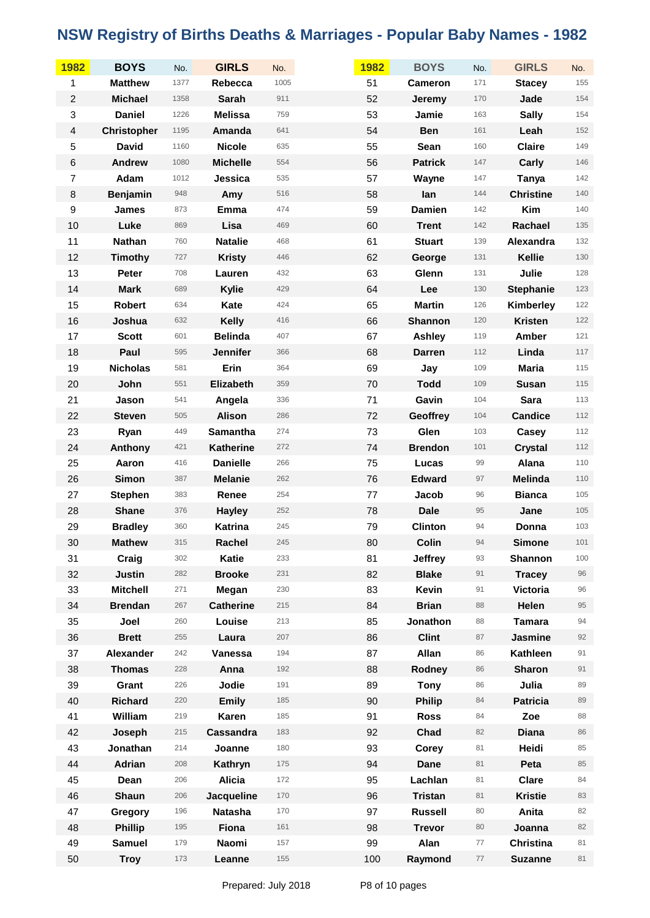| 1982                      | <b>BOYS</b>        | No.  | <b>GIRLS</b>     | No.  | 1982 | <b>BOYS</b>    | No.    | <b>GIRLS</b>     | No.   |
|---------------------------|--------------------|------|------------------|------|------|----------------|--------|------------------|-------|
| 1                         | <b>Matthew</b>     | 1377 | Rebecca          | 1005 | 51   | <b>Cameron</b> | 171    | <b>Stacey</b>    | 155   |
| $\overline{c}$            | <b>Michael</b>     | 1358 | <b>Sarah</b>     | 911  | 52   | Jeremy         | 170    | Jade             | 154   |
| $\ensuremath{\mathsf{3}}$ | <b>Daniel</b>      | 1226 | <b>Melissa</b>   | 759  | 53   | Jamie          | 163    | <b>Sally</b>     | 154   |
| $\overline{4}$            | <b>Christopher</b> | 1195 | Amanda           | 641  | 54   | <b>Ben</b>     | 161    | Leah             | 152   |
| 5                         | <b>David</b>       | 1160 | <b>Nicole</b>    | 635  | 55   | Sean           | 160    | <b>Claire</b>    | 149   |
| $\,6$                     | <b>Andrew</b>      | 1080 | <b>Michelle</b>  | 554  | 56   | <b>Patrick</b> | 147    | Carly            | 146   |
| $\boldsymbol{7}$          | Adam               | 1012 | Jessica          | 535  | 57   | Wayne          | 147    | <b>Tanya</b>     | 142   |
| $\,8\,$                   | <b>Benjamin</b>    | 948  | Amy              | 516  | 58   | lan            | 144    | <b>Christine</b> | 140   |
| $\boldsymbol{9}$          | <b>James</b>       | 873  | Emma             | 474  | 59   | <b>Damien</b>  | 142    | Kim              | 140   |
| 10                        | Luke               | 869  | Lisa             | 469  | 60   | <b>Trent</b>   | 142    | Rachael          | 135   |
| 11                        | <b>Nathan</b>      | 760  | <b>Natalie</b>   | 468  | 61   | <b>Stuart</b>  | 139    | Alexandra        | 132   |
| 12                        | <b>Timothy</b>     | 727  | <b>Kristy</b>    | 446  | 62   | George         | 131    | Kellie           | 130   |
| 13                        | Peter              | 708  | Lauren           | 432  | 63   | Glenn          | 131    | Julie            | 128   |
| 14                        | <b>Mark</b>        | 689  | Kylie            | 429  | 64   | Lee            | 130    | <b>Stephanie</b> | 123   |
| 15                        | <b>Robert</b>      | 634  | Kate             | 424  | 65   | <b>Martin</b>  | 126    | Kimberley        | 122   |
| 16                        | Joshua             | 632  | <b>Kelly</b>     | 416  | 66   | <b>Shannon</b> | 120    | <b>Kristen</b>   | 122   |
| 17                        | <b>Scott</b>       | 601  | <b>Belinda</b>   | 407  | 67   | Ashley         | 119    | Amber            | 121   |
| 18                        | Paul               | 595  | <b>Jennifer</b>  | 366  | 68   | <b>Darren</b>  | 112    | Linda            | 117   |
| 19                        | <b>Nicholas</b>    | 581  | Erin             | 364  | 69   | Jay            | 109    | <b>Maria</b>     | 115   |
| 20                        | John               | 551  | Elizabeth        | 359  | 70   | <b>Todd</b>    | 109    | <b>Susan</b>     | 115   |
| 21                        | Jason              | 541  | Angela           | 336  | 71   | Gavin          | 104    | <b>Sara</b>      | 113   |
| 22                        | <b>Steven</b>      | 505  | <b>Alison</b>    | 286  | 72   | Geoffrey       | 104    | <b>Candice</b>   | $112$ |
| 23                        | Ryan               | 449  | Samantha         | 274  | 73   | Glen           | 103    | Casey            | 112   |
| 24                        | Anthony            | 421  | <b>Katherine</b> | 272  | 74   | <b>Brendon</b> | 101    | <b>Crystal</b>   | 112   |
| 25                        | Aaron              | 416  | <b>Danielle</b>  | 266  | 75   | Lucas          | 99     | Alana            | 110   |
| 26                        | <b>Simon</b>       | 387  | <b>Melanie</b>   | 262  | 76   | <b>Edward</b>  | 97     | Melinda          | 110   |
| 27                        | <b>Stephen</b>     | 383  | Renee            | 254  | 77   | Jacob          | 96     | <b>Bianca</b>    | $105$ |
| 28                        | <b>Shane</b>       | 376  | <b>Hayley</b>    | 252  | 78   | <b>Dale</b>    | 95     | Jane             | 105   |
| 29                        | <b>Bradley</b>     | 360  | Katrina          | 245  | 79   | <b>Clinton</b> | 94     | Donna            | 103   |
| 30                        | <b>Mathew</b>      | 315  | Rachel           | 245  | 80   | <b>Colin</b>   | 94     | <b>Simone</b>    | 101   |
| 31                        | Craig              | 302  | <b>Katie</b>     | 233  | 81   | <b>Jeffrey</b> | 93     | Shannon          | 100   |
| 32                        | <b>Justin</b>      | 282  | <b>Brooke</b>    | 231  | 82   | <b>Blake</b>   | 91     | <b>Tracey</b>    | 96    |
| 33                        | <b>Mitchell</b>    | 271  | Megan            | 230  | 83   | <b>Kevin</b>   | 91     | <b>Victoria</b>  | 96    |
| 34                        | <b>Brendan</b>     | 267  | <b>Catherine</b> | 215  | 84   | <b>Brian</b>   | 88     | Helen            | 95    |
| 35                        | Joel               | 260  | Louise           | 213  | 85   | Jonathon       | 88     | <b>Tamara</b>    | 94    |
| 36                        | <b>Brett</b>       | 255  | Laura            | 207  | 86   | <b>Clint</b>   | 87     | Jasmine          | 92    |
| 37                        | Alexander          | 242  | Vanessa          | 194  | 87   | Allan          | 86     | <b>Kathleen</b>  | 91    |
| 38                        | <b>Thomas</b>      | 228  | Anna             | 192  | 88   | Rodney         | 86     | <b>Sharon</b>    | 91    |
| 39                        | Grant              | 226  | Jodie            | 191  | 89   | <b>Tony</b>    | 86     | Julia            | 89    |
| 40                        | <b>Richard</b>     | 220  | <b>Emily</b>     | 185  | 90   | <b>Philip</b>  | 84     | <b>Patricia</b>  | 89    |
| 41                        | William            | 219  | <b>Karen</b>     | 185  | 91   | <b>Ross</b>    | 84     | Zoe              | 88    |
| 42                        | Joseph             | 215  | Cassandra        | 183  | 92   | Chad           | 82     | <b>Diana</b>     | 86    |
| 43                        | Jonathan           | 214  | Joanne           | 180  | 93   | Corey          | 81     | Heidi            | 85    |
| 44                        | Adrian             | 208  | Kathryn          | 175  | 94   | <b>Dane</b>    | 81     | Peta             | 85    |
| 45                        | Dean               | 206  | <b>Alicia</b>    | 172  | 95   | Lachlan        | 81     | Clare            | 84    |
| 46                        | <b>Shaun</b>       | 206  | Jacqueline       | 170  | 96   | <b>Tristan</b> | 81     | <b>Kristie</b>   | 83    |
| 47                        | Gregory            | 196  | Natasha          | 170  | 97   | <b>Russell</b> | 80     | Anita            | 82    |
| 48                        | <b>Phillip</b>     | 195  | Fiona            | 161  | 98   | <b>Trevor</b>  | 80     | Joanna           | 82    |
| 49                        | <b>Samuel</b>      | 179  | Naomi            | 157  | 99   | Alan           | $77\,$ | <b>Christina</b> | 81    |
| 50                        | <b>Troy</b>        | 173  | Leanne           | 155  | 100  | Raymond        | 77     | <b>Suzanne</b>   | 81    |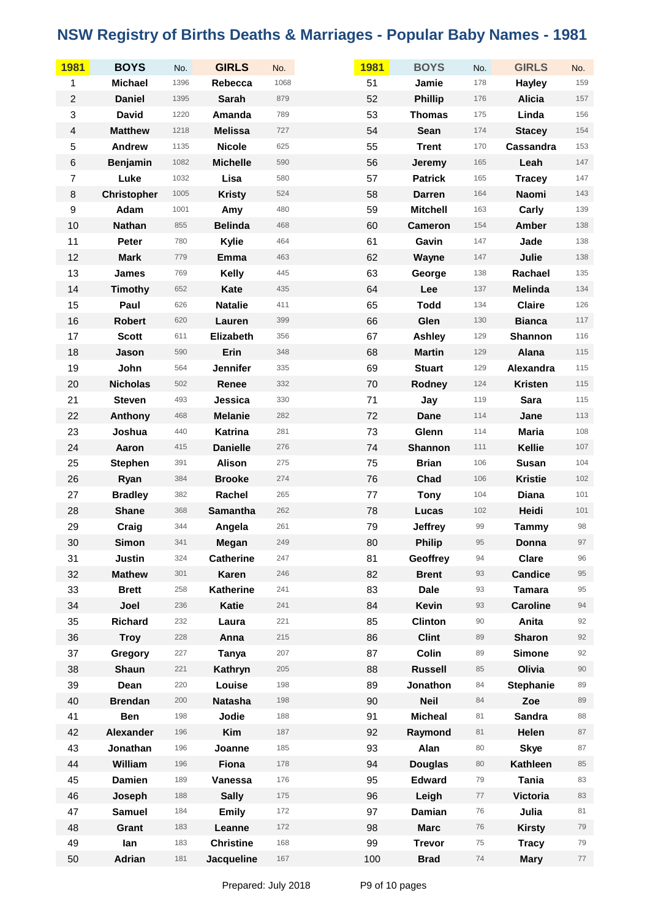| 1981                    | <b>BOYS</b>        | No.  | <b>GIRLS</b>     | No.  | 1981 | <b>BOYS</b>     | No.    | <b>GIRLS</b>     | No.    |
|-------------------------|--------------------|------|------------------|------|------|-----------------|--------|------------------|--------|
| 1                       | <b>Michael</b>     | 1396 | Rebecca          | 1068 | 51   | Jamie           | 178    | <b>Hayley</b>    | 159    |
| $\boldsymbol{2}$        | <b>Daniel</b>      | 1395 | <b>Sarah</b>     | 879  | 52   | <b>Phillip</b>  | 176    | <b>Alicia</b>    | 157    |
| 3                       | <b>David</b>       | 1220 | Amanda           | 789  | 53   | <b>Thomas</b>   | 175    | Linda            | 156    |
| $\overline{\mathbf{4}}$ | <b>Matthew</b>     | 1218 | <b>Melissa</b>   | 727  | 54   | <b>Sean</b>     | 174    | <b>Stacey</b>    | 154    |
| 5                       | Andrew             | 1135 | <b>Nicole</b>    | 625  | 55   | <b>Trent</b>    | 170    | Cassandra        | 153    |
| $\,6$                   | <b>Benjamin</b>    | 1082 | <b>Michelle</b>  | 590  | 56   | <b>Jeremy</b>   | 165    | Leah             | 147    |
| $\overline{7}$          | Luke               | 1032 | Lisa             | 580  | 57   | <b>Patrick</b>  | 165    | <b>Tracey</b>    | 147    |
| $\bf 8$                 | <b>Christopher</b> | 1005 | <b>Kristy</b>    | 524  | 58   | <b>Darren</b>   | 164    | <b>Naomi</b>     | 143    |
| $\boldsymbol{9}$        | Adam               | 1001 | Amy              | 480  | 59   | <b>Mitchell</b> | 163    | Carly            | 139    |
| 10                      | <b>Nathan</b>      | 855  | <b>Belinda</b>   | 468  | 60   | <b>Cameron</b>  | 154    | Amber            | 138    |
| 11                      | Peter              | 780  | Kylie            | 464  | 61   | Gavin           | 147    | Jade             | 138    |
| 12                      | <b>Mark</b>        | 779  | Emma             | 463  | 62   | Wayne           | 147    | Julie            | 138    |
| 13                      | <b>James</b>       | 769  | <b>Kelly</b>     | 445  | 63   | George          | 138    | Rachael          | 135    |
| 14                      | <b>Timothy</b>     | 652  | Kate             | 435  | 64   | Lee             | 137    | Melinda          | 134    |
| 15                      | Paul               | 626  | <b>Natalie</b>   | 411  | 65   | <b>Todd</b>     | 134    | <b>Claire</b>    | 126    |
| 16                      | <b>Robert</b>      | 620  | Lauren           | 399  | 66   | Glen            | 130    | <b>Bianca</b>    | $117$  |
| 17                      | <b>Scott</b>       | 611  | Elizabeth        | 356  | 67   | <b>Ashley</b>   | 129    | Shannon          | 116    |
| 18                      | Jason              | 590  | Erin             | 348  | 68   | <b>Martin</b>   | 129    | Alana            | 115    |
| 19                      | John               | 564  | <b>Jennifer</b>  | 335  | 69   | <b>Stuart</b>   | 129    | Alexandra        | 115    |
| 20                      | <b>Nicholas</b>    | 502  | Renee            | 332  | 70   | Rodney          | 124    | <b>Kristen</b>   | 115    |
| 21                      | <b>Steven</b>      | 493  | Jessica          | 330  | 71   | Jay             | 119    | <b>Sara</b>      | 115    |
| 22                      | Anthony            | 468  | <b>Melanie</b>   | 282  | 72   | Dane            | 114    | Jane             | 113    |
| 23                      | Joshua             | 440  | Katrina          | 281  | 73   | Glenn           | 114    | <b>Maria</b>     | 108    |
| 24                      | Aaron              | 415  | <b>Danielle</b>  | 276  | 74   | <b>Shannon</b>  | 111    | Kellie           | 107    |
| 25                      | <b>Stephen</b>     | 391  | <b>Alison</b>    | 275  | 75   | <b>Brian</b>    | 106    | Susan            | 104    |
| 26                      | Ryan               | 384  | <b>Brooke</b>    | 274  | 76   | Chad            | 106    | <b>Kristie</b>   | 102    |
| 27                      | <b>Bradley</b>     | 382  | Rachel           | 265  | 77   | <b>Tony</b>     | 104    | <b>Diana</b>     | 101    |
| 28                      | <b>Shane</b>       | 368  | Samantha         | 262  | 78   | Lucas           | 102    | Heidi            | 101    |
| 29                      | Craig              | 344  | Angela           | 261  | 79   | <b>Jeffrey</b>  | 99     | <b>Tammy</b>     | 98     |
| 30                      | <b>Simon</b>       | 341  | <b>Megan</b>     | 249  | 80   | <b>Philip</b>   | 95     | Donna            | 97     |
| 31                      | <b>Justin</b>      | 324  | <b>Catherine</b> | 247  | 81   | Geoffrey        | 94     | <b>Clare</b>     | 96     |
| 32                      | <b>Mathew</b>      | 301  | <b>Karen</b>     | 246  | 82   | <b>Brent</b>    | 93     | <b>Candice</b>   | 95     |
| 33                      | <b>Brett</b>       | 258  | <b>Katherine</b> | 241  | 83   | <b>Dale</b>     | 93     | <b>Tamara</b>    | 95     |
| 34                      | Joel               | 236  | <b>Katie</b>     | 241  | 84   | Kevin           | 93     | <b>Caroline</b>  | 94     |
| 35                      | Richard            | 232  | Laura            | 221  | 85   | <b>Clinton</b>  | 90     | Anita            | 92     |
| 36                      | <b>Troy</b>        | 228  | Anna             | 215  | 86   | <b>Clint</b>    | 89     | <b>Sharon</b>    | 92     |
| 37                      | Gregory            | 227  | Tanya            | 207  | 87   | Colin           | 89     | <b>Simone</b>    | 92     |
| 38                      | <b>Shaun</b>       | 221  | Kathryn          | 205  | 88   | <b>Russell</b>  | 85     | Olivia           | $90\,$ |
| 39                      | Dean               | 220  | Louise           | 198  | 89   | Jonathon        | 84     | <b>Stephanie</b> | 89     |
| 40                      | <b>Brendan</b>     | 200  | <b>Natasha</b>   | 198  | 90   | <b>Neil</b>     | 84     | Zoe              | 89     |
| 41                      | Ben                | 198  | Jodie            | 188  | 91   | <b>Micheal</b>  | 81     | <b>Sandra</b>    | 88     |
| 42                      | Alexander          | 196  | Kim              | 187  | 92   | Raymond         | 81     | Helen            | 87     |
| 43                      | Jonathan           | 196  | Joanne           | 185  | 93   | Alan            | 80     | <b>Skye</b>      | 87     |
| 44                      | William            | 196  | Fiona            | 178  | 94   | <b>Douglas</b>  | 80     | Kathleen         | 85     |
| 45                      | <b>Damien</b>      | 189  | Vanessa          | 176  | 95   | <b>Edward</b>   | 79     | Tania            | 83     |
| 46                      | Joseph             | 188  | <b>Sally</b>     | 175  | 96   | Leigh           | 77     | <b>Victoria</b>  | 83     |
| 47                      | <b>Samuel</b>      | 184  | <b>Emily</b>     | 172  | 97   | Damian          | 76     | Julia            | 81     |
| 48                      | Grant              | 183  | Leanne           | 172  | 98   | <b>Marc</b>     | 76     | <b>Kirsty</b>    | 79     |
| 49                      | lan                | 183  | <b>Christine</b> | 168  | 99   | <b>Trevor</b>   | $75\,$ | <b>Tracy</b>     | 79     |
| 50                      | Adrian             | 181  | Jacqueline       | 167  | 100  | <b>Brad</b>     | 74     | <b>Mary</b>      | 77     |